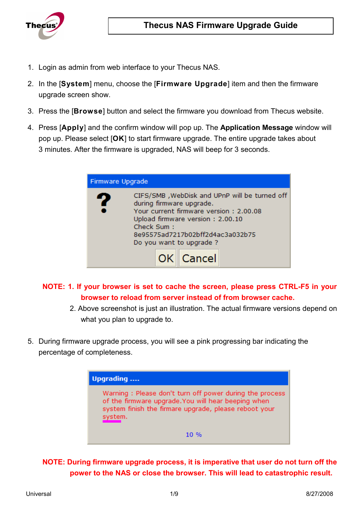

- 1. Login as admin from web interface to your Thecus NAS.
- 2. In the [**System**] menu, choose the [**Firmware Upgrade**] item and then the firmware upgrade screen show.
- 3. Press the [**Browse**] button and select the firmware you download from Thecus website.
- 4. Press [**Apply**] and the confirm window will pop up. The **Application Message** window will pop up. Please select [**OK**] to start firmware upgrade. The entire upgrade takes about 3 minutes. After the firmware is upgraded, NAS will beep for 3 seconds.

| Firmware Upgrade                                                                                                                                                                                                                                              |
|---------------------------------------------------------------------------------------------------------------------------------------------------------------------------------------------------------------------------------------------------------------|
| CIFS/SMB, WebDisk and UPnP will be turned off<br>7<br>during firmware upgrade.<br>Your current firmware version: 2,00,08<br>Upload firmware version: 2.00.10<br>Check Sum:<br>8e95575ad7217b02bff2d4ac3a032b75<br>Do you want to upgrade?<br><b>OK</b> Cancel |

**NOTE: 1. If your browser is set to cache the screen, please press CTRL-F5 in your browser to reload from server instead of from browser cache.** 

- 2. Above screenshot is just an illustration. The actual firmware versions depend on what you plan to upgrade to.
- 5. During firmware upgrade process, you will see a pink progressing bar indicating the percentage of completeness.



**NOTE: During firmware upgrade process, it is imperative that user do not turn off the power to the NAS or close the browser. This will lead to catastrophic result.**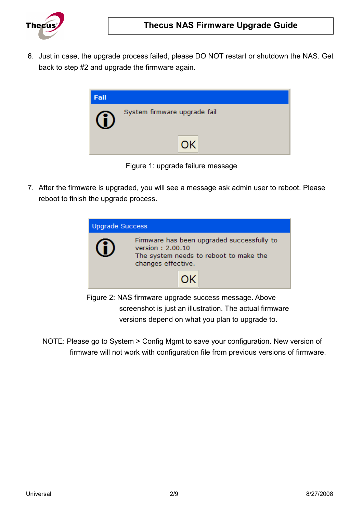

6. Just in case, the upgrade process failed, please DO NOT restart or shutdown the NAS. Get back to step #2 and upgrade the firmware again.



Figure 1: upgrade failure message

7. After the firmware is upgraded, you will see a message ask admin user to reboot. Please reboot to finish the upgrade process.



- Figure 2: NAS firmware upgrade success message. Above screenshot is just an illustration. The actual firmware versions depend on what you plan to upgrade to.
- NOTE: Please go to System > Config Mgmt to save your configuration. New version of firmware will not work with configuration file from previous versions of firmware.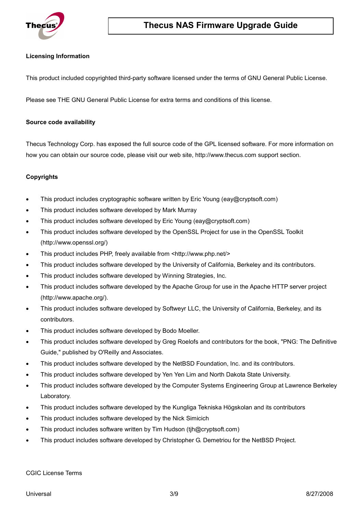

#### **Licensing Information**

This product included copyrighted third-party software licensed under the terms of GNU General Public License.

Please see THE GNU General Public License for extra terms and conditions of this license.

#### **Source code availability**

Thecus Technology Corp. has exposed the full source code of the GPL licensed software. For more information on how you can obtain our source code, please visit our web site, http://www.thecus.com support section.

#### **Copyrights**

- This product includes cryptographic software written by Eric Young (eay@cryptsoft.com)
- This product includes software developed by Mark Murray
- This product includes software developed by Eric Young (eay@cryptsoft.com)
- This product includes software developed by the OpenSSL Project for use in the OpenSSL Toolkit (http://www.openssl.org/)
- This product includes PHP, freely available from <http://www.php.net/>
- This product includes software developed by the University of California, Berkeley and its contributors.
- This product includes software developed by Winning Strategies, Inc.
- This product includes software developed by the Apache Group for use in the Apache HTTP server project (http://www.apache.org/).
- This product includes software developed by Softweyr LLC, the University of California, Berkeley, and its contributors.
- This product includes software developed by Bodo Moeller.
- This product includes software developed by Greg Roelofs and contributors for the book, "PNG: The Definitive Guide," published by O'Reilly and Associates.
- This product includes software developed by the NetBSD Foundation, Inc. and its contributors.
- This product includes software developed by Yen Yen Lim and North Dakota State University.
- This product includes software developed by the Computer Systems Engineering Group at Lawrence Berkeley Laboratory.
- This product includes software developed by the Kungliga Tekniska Högskolan and its contributors
- This product includes software developed by the Nick Simicich
- This product includes software written by Tim Hudson (tjh@cryptsoft.com)
- This product includes software developed by Christopher G. Demetriou for the NetBSD Project.

CGIC License Terms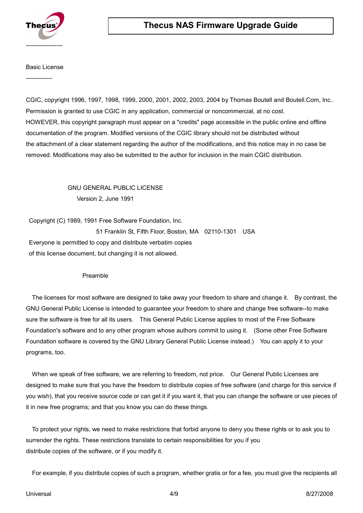

#### Basic License

-------------

CGIC, copyright 1996, 1997, 1998, 1999, 2000, 2001, 2002, 2003, 2004 by Thomas Boutell and Boutell.Com, Inc.. Permission is granted to use CGIC in any application, commercial or noncommercial, at no cost. HOWEVER, this copyright paragraph must appear on a "credits" page accessible in the public online and offline documentation of the program. Modified versions of the CGIC library should not be distributed without the attachment of a clear statement regarding the author of the modifications, and this notice may in no case be removed. Modifications may also be submitted to the author for inclusion in the main CGIC distribution.

### GNU GENERAL PUBLIC LICENSE Version 2, June 1991

 Copyright (C) 1989, 1991 Free Software Foundation, Inc. 51 Franklin St, Fifth Floor, Boston, MA 02110-1301 USA Everyone is permitted to copy and distribute verbatim copies of this license document, but changing it is not allowed.

#### Preamble

 The licenses for most software are designed to take away your freedom to share and change it. By contrast, the GNU General Public License is intended to guarantee your freedom to share and change free software--to make sure the software is free for all its users. This General Public License applies to most of the Free Software Foundation's software and to any other program whose authors commit to using it. (Some other Free Software Foundation software is covered by the GNU Library General Public License instead.) You can apply it to your programs, too.

 When we speak of free software, we are referring to freedom, not price. Our General Public Licenses are designed to make sure that you have the freedom to distribute copies of free software (and charge for this service if you wish), that you receive source code or can get it if you want it, that you can change the software or use pieces of it in new free programs; and that you know you can do these things.

 To protect your rights, we need to make restrictions that forbid anyone to deny you these rights or to ask you to surrender the rights. These restrictions translate to certain responsibilities for you if you distribute copies of the software, or if you modify it.

For example, if you distribute copies of such a program, whether gratis or for a fee, you must give the recipients all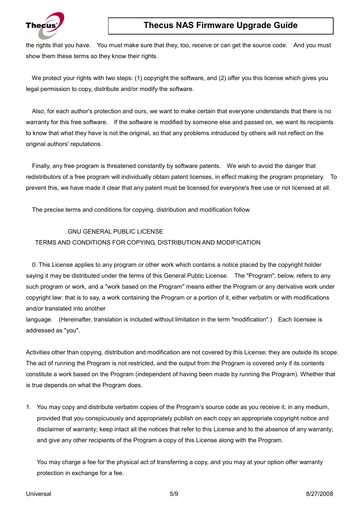

# **Thecus NAS Firmware Upgrade Guide**

the rights that you have. You must make sure that they, too, receive or can get the source code. And you must show them these terms so they know their rights.

We protect your rights with two steps: (1) copyright the software, and (2) offer you this license which gives you legal permission to copy, distribute and/or modify the software.

 Also, for each author's protection and ours, we want to make certain that everyone understands that there is no warranty for this free software. If the software is modified by someone else and passed on, we want its recipients to know that what they have is not the original, so that any problems introduced by others will not reflect on the original authors' reputations.

 Finally, any free program is threatened constantly by software patents. We wish to avoid the danger that redistributors of a free program will individually obtain patent licenses, in effect making the program proprietary. To prevent this, we have made it clear that any patent must be licensed for everyone's free use or not licensed at all.

The precise terms and conditions for copying, distribution and modification follow.

#### GNU GENERAL PUBLIC LICENSE

#### TERMS AND CONDITIONS FOR COPYING, DISTRIBUTION AND MODIFICATION

 0. This License applies to any program or other work which contains a notice placed by the copyright holder saying it may be distributed under the terms of this General Public License. The "Program", below, refers to any such program or work, and a "work based on the Program" means either the Program or any derivative work under copyright law: that is to say, a work containing the Program or a portion of it, either verbatim or with modifications and/or translated into another

language. (Hereinafter, translation is included without limitation in the term "modification".) Each licensee is addressed as "you".

Activities other than copying, distribution and modification are not covered by this License; they are outside its scope. The act of running the Program is not restricted, and the output from the Program is covered only if its contents constitute a work based on the Program (independent of having been made by running the Program). Whether that is true depends on what the Program does.

1. You may copy and distribute verbatim copies of the Program's source code as you receive it, in any medium, provided that you conspicuously and appropriately publish on each copy an appropriate copyright notice and disclaimer of warranty; keep intact all the notices that refer to this License and to the absence of any warranty; and give any other recipients of the Program a copy of this License along with the Program.

You may charge a fee for the physical act of transferring a copy, and you may at your option offer warranty protection in exchange for a fee.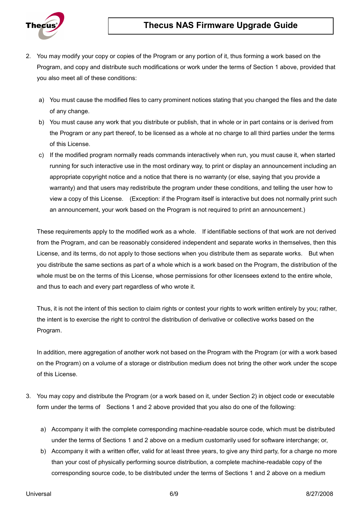## **Thecus NAS Firmware Upgrade Guide**



- 2. You may modify your copy or copies of the Program or any portion of it, thus forming a work based on the Program, and copy and distribute such modifications or work under the terms of Section 1 above, provided that you also meet all of these conditions:
	- a) You must cause the modified files to carry prominent notices stating that you changed the files and the date of any change.
	- b) You must cause any work that you distribute or publish, that in whole or in part contains or is derived from the Program or any part thereof, to be licensed as a whole at no charge to all third parties under the terms of this License.
	- c) If the modified program normally reads commands interactively when run, you must cause it, when started running for such interactive use in the most ordinary way, to print or display an announcement including an appropriate copyright notice and a notice that there is no warranty (or else, saying that you provide a warranty) and that users may redistribute the program under these conditions, and telling the user how to view a copy of this License. (Exception: if the Program itself is interactive but does not normally print such an announcement, your work based on the Program is not required to print an announcement.)

These requirements apply to the modified work as a whole. If identifiable sections of that work are not derived from the Program, and can be reasonably considered independent and separate works in themselves, then this License, and its terms, do not apply to those sections when you distribute them as separate works. But when you distribute the same sections as part of a whole which is a work based on the Program, the distribution of the whole must be on the terms of this License, whose permissions for other licensees extend to the entire whole, and thus to each and every part regardless of who wrote it.

Thus, it is not the intent of this section to claim rights or contest your rights to work written entirely by you; rather, the intent is to exercise the right to control the distribution of derivative or collective works based on the Program.

In addition, mere aggregation of another work not based on the Program with the Program (or with a work based on the Program) on a volume of a storage or distribution medium does not bring the other work under the scope of this License.

- 3. You may copy and distribute the Program (or a work based on it, under Section 2) in object code or executable form under the terms of Sections 1 and 2 above provided that you also do one of the following:
	- a) Accompany it with the complete corresponding machine-readable source code, which must be distributed under the terms of Sections 1 and 2 above on a medium customarily used for software interchange; or,
	- b) Accompany it with a written offer, valid for at least three years, to give any third party, for a charge no more than your cost of physically performing source distribution, a complete machine-readable copy of the corresponding source code, to be distributed under the terms of Sections 1 and 2 above on a medium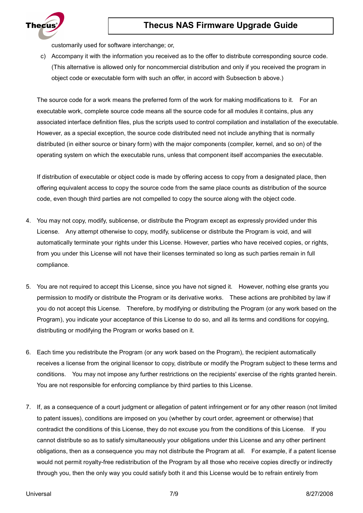



customarily used for software interchange; or,

c) Accompany it with the information you received as to the offer to distribute corresponding source code. (This alternative is allowed only for noncommercial distribution and only if you received the program in object code or executable form with such an offer, in accord with Subsection b above.)

The source code for a work means the preferred form of the work for making modifications to it. For an executable work, complete source code means all the source code for all modules it contains, plus any associated interface definition files, plus the scripts used to control compilation and installation of the executable. However, as a special exception, the source code distributed need not include anything that is normally distributed (in either source or binary form) with the major components (compiler, kernel, and so on) of the operating system on which the executable runs, unless that component itself accompanies the executable.

If distribution of executable or object code is made by offering access to copy from a designated place, then offering equivalent access to copy the source code from the same place counts as distribution of the source code, even though third parties are not compelled to copy the source along with the object code.

- 4. You may not copy, modify, sublicense, or distribute the Program except as expressly provided under this License. Any attempt otherwise to copy, modify, sublicense or distribute the Program is void, and will automatically terminate your rights under this License. However, parties who have received copies, or rights, from you under this License will not have their licenses terminated so long as such parties remain in full compliance.
- 5. You are not required to accept this License, since you have not signed it. However, nothing else grants you permission to modify or distribute the Program or its derivative works. These actions are prohibited by law if you do not accept this License. Therefore, by modifying or distributing the Program (or any work based on the Program), you indicate your acceptance of this License to do so, and all its terms and conditions for copying, distributing or modifying the Program or works based on it.
- 6. Each time you redistribute the Program (or any work based on the Program), the recipient automatically receives a license from the original licensor to copy, distribute or modify the Program subject to these terms and conditions. You may not impose any further restrictions on the recipients' exercise of the rights granted herein. You are not responsible for enforcing compliance by third parties to this License.
- 7. If, as a consequence of a court judgment or allegation of patent infringement or for any other reason (not limited to patent issues), conditions are imposed on you (whether by court order, agreement or otherwise) that contradict the conditions of this License, they do not excuse you from the conditions of this License. If you cannot distribute so as to satisfy simultaneously your obligations under this License and any other pertinent obligations, then as a consequence you may not distribute the Program at all. For example, if a patent license would not permit royalty-free redistribution of the Program by all those who receive copies directly or indirectly through you, then the only way you could satisfy both it and this License would be to refrain entirely from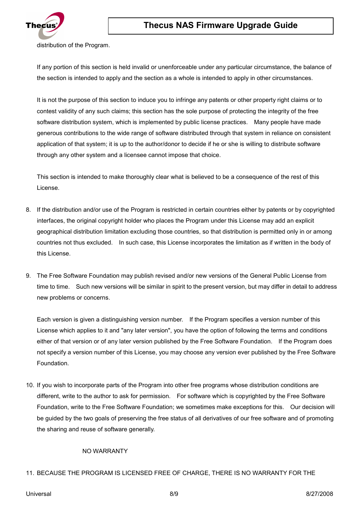

distribution of the Program.

If any portion of this section is held invalid or unenforceable under any particular circumstance, the balance of the section is intended to apply and the section as a whole is intended to apply in other circumstances.

It is not the purpose of this section to induce you to infringe any patents or other property right claims or to contest validity of any such claims; this section has the sole purpose of protecting the integrity of the free software distribution system, which is implemented by public license practices. Many people have made generous contributions to the wide range of software distributed through that system in reliance on consistent application of that system; it is up to the author/donor to decide if he or she is willing to distribute software through any other system and a licensee cannot impose that choice.

This section is intended to make thoroughly clear what is believed to be a consequence of the rest of this License.

- 8. If the distribution and/or use of the Program is restricted in certain countries either by patents or by copyrighted interfaces, the original copyright holder who places the Program under this License may add an explicit geographical distribution limitation excluding those countries, so that distribution is permitted only in or among countries not thus excluded. In such case, this License incorporates the limitation as if written in the body of this License.
- 9. The Free Software Foundation may publish revised and/or new versions of the General Public License from time to time. Such new versions will be similar in spirit to the present version, but may differ in detail to address new problems or concerns.

Each version is given a distinguishing version number. If the Program specifies a version number of this License which applies to it and "any later version", you have the option of following the terms and conditions either of that version or of any later version published by the Free Software Foundation. If the Program does not specify a version number of this License, you may choose any version ever published by the Free Software Foundation.

10. If you wish to incorporate parts of the Program into other free programs whose distribution conditions are different, write to the author to ask for permission. For software which is copyrighted by the Free Software Foundation, write to the Free Software Foundation; we sometimes make exceptions for this. Our decision will be guided by the two goals of preserving the free status of all derivatives of our free software and of promoting the sharing and reuse of software generally.

#### NO WARRANTY

#### 11. BECAUSE THE PROGRAM IS LICENSED FREE OF CHARGE, THERE IS NO WARRANTY FOR THE